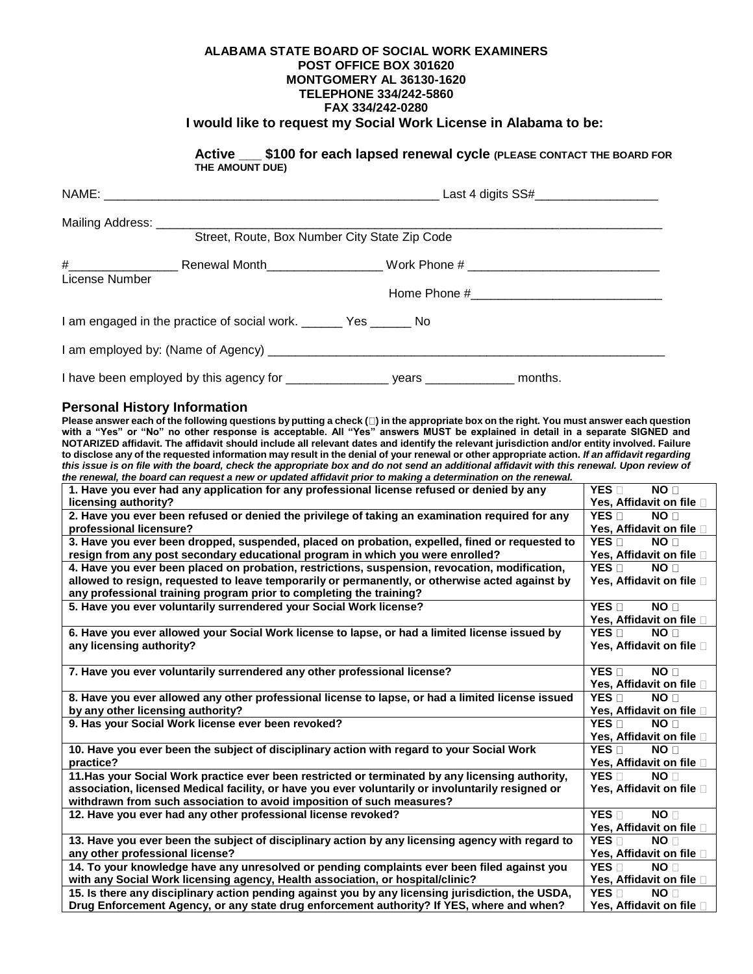## **ALABAMA STATE BOARD OF SOCIAL WORK EXAMINERS POST OFFICE BOX 301620 MONTGOMERY AL 36130-1620 TELEPHONE 334/242-5860 FAX 334/242-0280 I would like to request my Social Work License in Alabama to be:**

**Active \_\_\_ \$100 for each lapsed renewal cycle (PLEASE CONTACT THE BOARD FOR THE AMOUNT DUE)**

|                | Mailing Address: ________________________<br>Street, Route, Box Number City State Zip Code |  |  |  |
|----------------|--------------------------------------------------------------------------------------------|--|--|--|
| License Number |                                                                                            |  |  |  |
|                | I am engaged in the practice of social work. _______ Yes ______ No                         |  |  |  |
|                |                                                                                            |  |  |  |
|                | I have been employed by this agency for ___________________ years ______________ months.   |  |  |  |

## **Personal History Information**

**Please answer each of the following questions by putting a check ( ) in the appropriate box on the right. You must answer each question with a "Yes" or "No" no other response is acceptable. All "Yes" answers MUST be explained in detail in a separate SIGNED and NOTARIZED affidavit. The affidavit should include all relevant dates and identify the relevant jurisdiction and/or entity involved. Failure to disclose any of the requested information may result in the denial of your renewal or other appropriate action.** *If an affidavit regarding this issue is on file with the board, check the appropriate box and do not send an additional affidavit with this renewal. Upon review of*  the renewal, the board can request a new or updated affidavit prior to making a determination on the renewal,

| 1. Have you ever had any application for any professional license refused or denied by any        | YES <b>n</b><br>NO <sub>0</sub>      |
|---------------------------------------------------------------------------------------------------|--------------------------------------|
| licensing authority?                                                                              | Yes, Affidavit on file □             |
| 2. Have you ever been refused or denied the privilege of taking an examination required for any   | $YES \Box$<br>NO <sub>1</sub>        |
| professional licensure?                                                                           | Yes, Affidavit on file [             |
| 3. Have you ever been dropped, suspended, placed on probation, expelled, fined or requested to    | $YES \Box$<br>NO <sub>1</sub>        |
| resign from any post secondary educational program in which you were enrolled?                    | Yes, Affidavit on file               |
| 4. Have you ever been placed on probation, restrictions, suspension, revocation, modification,    | YES <b>n</b><br>NO <sub>1</sub>      |
| allowed to resign, requested to leave temporarily or permanently, or otherwise acted against by   | Yes, Affidavit on file □             |
| any professional training program prior to completing the training?                               |                                      |
| 5. Have you ever voluntarily surrendered your Social Work license?                                | $YES \Box$<br>NO <b>D</b>            |
|                                                                                                   | Yes, Affidavit on file □             |
| 6. Have you ever allowed your Social Work license to lapse, or had a limited license issued by    | $YES \Box$<br>NO <sub>[]</sub>       |
| any licensing authority?                                                                          | Yes, Affidavit on file □             |
|                                                                                                   |                                      |
| 7. Have you ever voluntarily surrendered any other professional license?                          | YES <b>n</b><br>NO <sub>1</sub>      |
|                                                                                                   | Yes, Affidavit on file [             |
| 8. Have you ever allowed any other professional license to lapse, or had a limited license issued | YES D<br>NO <sub>[1</sub>            |
| by any other licensing authority?                                                                 | Yes, Affidavit on file □             |
| 9. Has your Social Work license ever been revoked?                                                | YES <sub>[1</sub><br>NO <sub>1</sub> |
|                                                                                                   | Yes, Affidavit on file               |
| 10. Have you ever been the subject of disciplinary action with regard to your Social Work         | $YES \Box$<br>NO <sub>1</sub>        |
| practice?                                                                                         | Yes, Affidavit on file □             |
| 11. Has your Social Work practice ever been restricted or terminated by any licensing authority,  | YES <b>n</b><br>NO <sub>D</sub>      |
| association, licensed Medical facility, or have you ever voluntarily or involuntarily resigned or | Yes, Affidavit on file □             |
| withdrawn from such association to avoid imposition of such measures?                             |                                      |
| 12. Have you ever had any other professional license revoked?                                     | $YES \Box$<br>NO <sub>D</sub>        |
|                                                                                                   | Yes, Affidavit on file □             |
| 13. Have you ever been the subject of disciplinary action by any licensing agency with regard to  | $YES \Box$<br>NO <sub>1</sub>        |
| any other professional license?                                                                   | Yes, Affidavit on file               |
| 14. To your knowledge have any unresolved or pending complaints ever been filed against you       | YES <sub>I</sub><br>NO <sub>1</sub>  |
| with any Social Work licensing agency, Health association, or hospital/clinic?                    | Yes, Affidavit on file               |
| 15. Is there any disciplinary action pending against you by any licensing jurisdiction, the USDA, | YES <b>n</b><br>NO <sub>1</sub>      |
| Drug Enforcement Agency, or any state drug enforcement authority? If YES, where and when?         | Yes, Affidavit on file □             |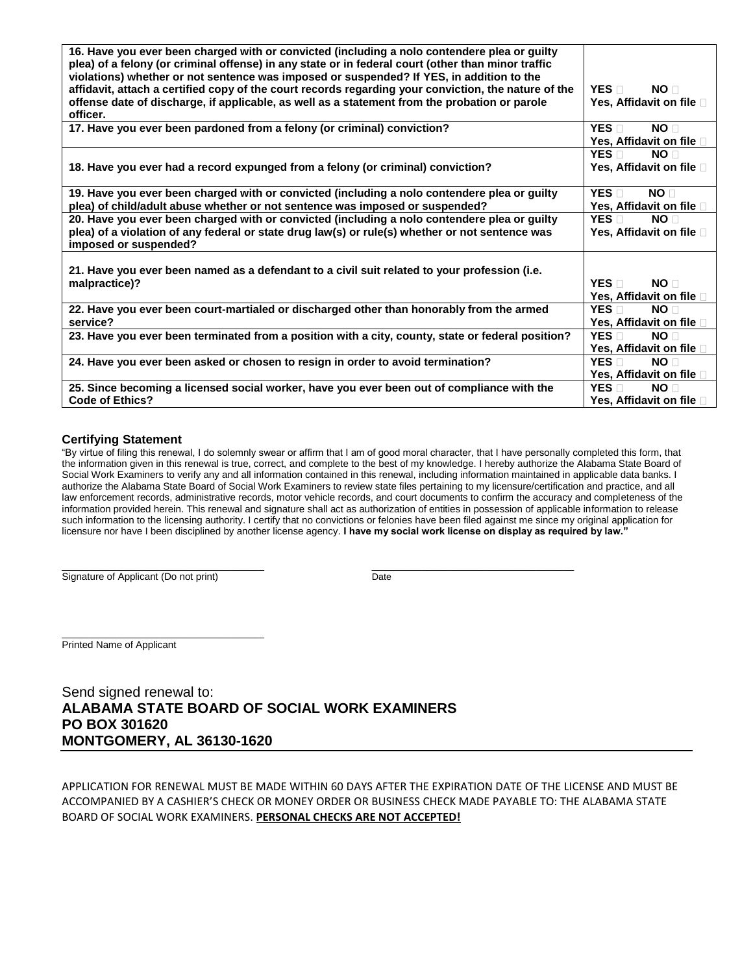| 16. Have you ever been charged with or convicted (including a nolo contendere plea or guilty<br>plea) of a felony (or criminal offense) in any state or in federal court (other than minor traffic<br>violations) whether or not sentence was imposed or suspended? If YES, in addition to the |                                                                    |
|------------------------------------------------------------------------------------------------------------------------------------------------------------------------------------------------------------------------------------------------------------------------------------------------|--------------------------------------------------------------------|
| affidavit, attach a certified copy of the court records regarding your conviction, the nature of the<br>offense date of discharge, if applicable, as well as a statement from the probation or parole<br>officer.                                                                              | YES <b>□</b><br>NO <sub>1</sub><br>Yes, Affidavit on file □        |
| 17. Have you ever been pardoned from a felony (or criminal) conviction?                                                                                                                                                                                                                        | YES <sub>[1</sub> ]<br>NO <sub>1</sub><br>Yes, Affidavit on file □ |
| 18. Have you ever had a record expunged from a felony (or criminal) conviction?                                                                                                                                                                                                                | $YES \Box$<br>NO <sub>1</sub><br>Yes, Affidavit on file □          |
| 19. Have you ever been charged with or convicted (including a nolo contendere plea or guilty                                                                                                                                                                                                   | YES <b>n</b><br>NO <sub>1</sub>                                    |
| plea) of child/adult abuse whether or not sentence was imposed or suspended?                                                                                                                                                                                                                   | Yes, Affidavit on file                                             |
| 20. Have you ever been charged with or convicted (including a nolo contendere plea or guilty<br>plea) of a violation of any federal or state drug law(s) or rule(s) whether or not sentence was<br>imposed or suspended?                                                                       | YES <sub>[1</sub> ]<br>NO <sub>1</sub><br>Yes, Affidavit on file □ |
| 21. Have you ever been named as a defendant to a civil suit related to your profession (i.e.<br>malpractice)?                                                                                                                                                                                  | $YES \nightharpoonup$<br>NO <sub>1</sub><br>Yes, Affidavit on file |
| 22. Have you ever been court-martialed or discharged other than honorably from the armed<br>service?                                                                                                                                                                                           | YES <sub>T</sub><br>NO <sub>1</sub><br>Yes, Affidavit on file □    |
| 23. Have you ever been terminated from a position with a city, county, state or federal position?                                                                                                                                                                                              | $YES \Box$<br>NO <sub>1</sub><br>Yes, Affidavit on file □          |
| 24. Have you ever been asked or chosen to resign in order to avoid termination?                                                                                                                                                                                                                | $YES \Box$<br>NO <sub>1</sub><br>Yes, Affidavit on file □          |
| 25. Since becoming a licensed social worker, have you ever been out of compliance with the<br><b>Code of Ethics?</b>                                                                                                                                                                           | $YES \Box$<br>NO <sub>1</sub><br>Yes, Affidavit on file <b>□</b>   |
|                                                                                                                                                                                                                                                                                                |                                                                    |

## **Certifying Statement**

"By virtue of filing this renewal, I do solemnly swear or affirm that I am of good moral character, that I have personally completed this form, that the information given in this renewal is true, correct, and complete to the best of my knowledge. I hereby authorize the Alabama State Board of Social Work Examiners to verify any and all information contained in this renewal, including information maintained in applicable data banks. I authorize the Alabama State Board of Social Work Examiners to review state files pertaining to my licensure/certification and practice, and all law enforcement records, administrative records, motor vehicle records, and court documents to confirm the accuracy and completeness of the information provided herein. This renewal and signature shall act as authorization of entities in possession of applicable information to release such information to the licensing authority. I certify that no convictions or felonies have been filed against me since my original application for licensure nor have I been disciplined by another license agency. **I have my social work license on display as required by law."** 

 $\_$  , and the set of the set of the set of the set of the set of the set of the set of the set of the set of the set of the set of the set of the set of the set of the set of the set of the set of the set of the set of th Signature of Applicant (Do not print) Date

\_\_\_\_\_\_\_\_\_\_\_\_\_\_\_\_\_\_\_\_\_\_\_\_\_\_\_\_\_\_\_\_\_\_\_\_\_ Printed Name of Applicant

Send signed renewal to: **ALABAMA STATE BOARD OF SOCIAL WORK EXAMINERS PO BOX 301620 MONTGOMERY, AL 36130-1620** 

APPLICATION FOR RENEWAL MUST BE MADE WITHIN 60 DAYS AFTER THE EXPIRATION DATE OF THE LICENSE AND MUST BE ACCOMPANIED BY A CASHIER'S CHECK OR MONEY ORDER OR BUSINESS CHECK MADE PAYABLE TO: THE ALABAMA STATE BOARD OF SOCIAL WORK EXAMINERS. **PERSONAL CHECKS ARE NOT ACCEPTED!**